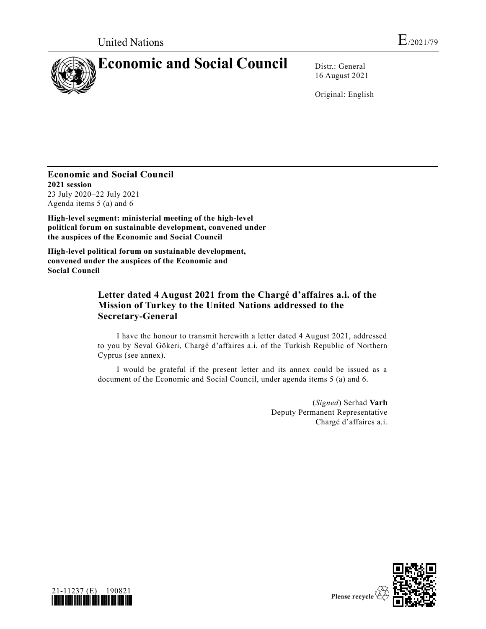

16 August 2021

Original: English

**Economic and Social Council 2021 session** 23 July 2020–22 July 2021 Agenda items 5 (a) and 6

**High-level segment: ministerial meeting of the high-level political forum on sustainable development, convened under the auspices of the Economic and Social Council**

**High-level political forum on sustainable development, convened under the auspices of the Economic and Social Council**

## **Letter dated 4 August 2021 from the Chargé d'affaires a.i. of the Mission of Turkey to the United Nations addressed to the Secretary-General**

I have the honour to transmit herewith a letter dated 4 August 2021, addressed to you by Seval Gökeri, Chargé d'affaires a.i. of the Turkish Republic of Northern Cyprus (see annex).

I would be grateful if the present letter and its annex could be issued as a document of the Economic and Social Council, under agenda items 5 (a) and 6.

> (*Signed*) Serhad **Varlı** Deputy Permanent Representative Chargé d'affaires a.i.



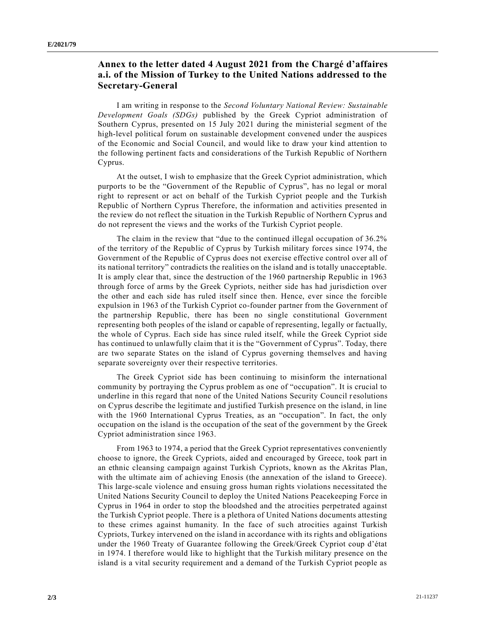## **Annex to the letter dated 4 August 2021 from the Chargé d'affaires a.i. of the Mission of Turkey to the United Nations addressed to the Secretary-General**

I am writing in response to the *Second Voluntary National Review: Sustainable Development Goals (SDGs)* published by the Greek Cypriot administration of Southern Cyprus, presented on 15 July 2021 during the ministerial segment of the high-level political forum on sustainable development convened under the auspices of the Economic and Social Council, and would like to draw your kind attention to the following pertinent facts and considerations of the Turkish Republic of Northern Cyprus.

At the outset, I wish to emphasize that the Greek Cypriot administration, which purports to be the "Government of the Republic of Cyprus", has no legal or moral right to represent or act on behalf of the Turkish Cypriot people and the Turkish Republic of Northern Cyprus Therefore, the information and activities presented in the review do not reflect the situation in the Turkish Republic of Northern Cyprus and do not represent the views and the works of the Turkish Cypriot people.

The claim in the review that "due to the continued illegal occupation of 36.2% of the territory of the Republic of Cyprus by Turkish military forces since 1974, the Government of the Republic of Cyprus does not exercise effective control over all of its national territory" contradicts the realities on the island and is totally unacceptable. It is amply clear that, since the destruction of the 1960 partnership Republic in 1963 through force of arms by the Greek Cypriots, neither side has had jurisdiction over the other and each side has ruled itself since then. Hence, ever since the forcible expulsion in 1963 of the Turkish Cypriot co-founder partner from the Government of the partnership Republic, there has been no single constitutional Government representing both peoples of the island or capable of representing, legally or factually, the whole of Cyprus. Each side has since ruled itself, while the Greek Cypriot side has continued to unlawfully claim that it is the "Government of Cyprus". Today, there are two separate States on the island of Cyprus governing themselves and having separate sovereignty over their respective territories.

The Greek Cypriot side has been continuing to misinform the international community by portraying the Cyprus problem as one of "occupation". It is crucial to underline in this regard that none of the United Nations Security Council resolutions on Cyprus describe the legitimate and justified Turkish presence on the island, in line with the 1960 International Cyprus Treaties, as an "occupation". In fact, the only occupation on the island is the occupation of the seat of the government by the Greek Cypriot administration since 1963.

From 1963 to 1974, a period that the Greek Cypriot representatives conveniently choose to ignore, the Greek Cypriots, aided and encouraged by Greece, took part in an ethnic cleansing campaign against Turkish Cypriots, known as the Akritas Plan, with the ultimate aim of achieving Enosis (the annexation of the island to Greece). This large-scale violence and ensuing gross human rights violations necessitated the United Nations Security Council to deploy the United Nations Peacekeeping Force in Cyprus in 1964 in order to stop the bloodshed and the atrocities perpetrated against the Turkish Cypriot people. There is a plethora of United Nations documents attesting to these crimes against humanity. In the face of such atrocities against Turkish Cypriots, Turkey intervened on the island in accordance with its rights and obligations under the 1960 Treaty of Guarantee following the Greek/Greek Cypriot coup d'état in 1974. I therefore would like to highlight that the Turkish military presence on the island is a vital security requirement and a demand of the Turkish Cypriot people as